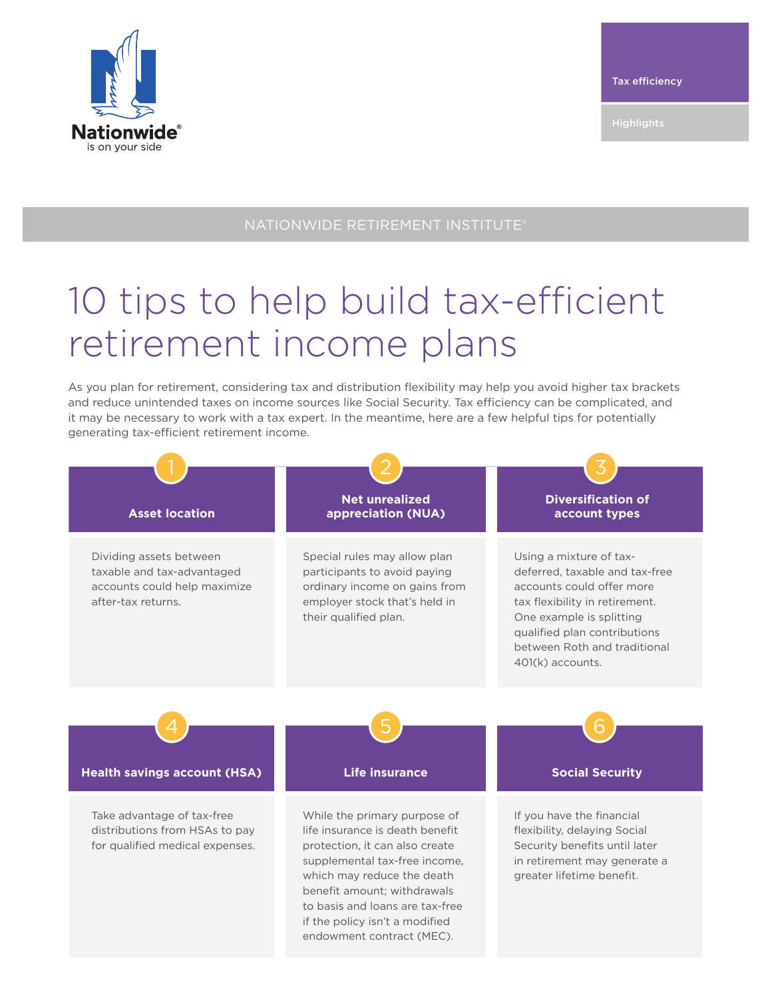

## NATIONWIDE RETIREMENT INSTITUTE®

## 10 tips to help build tax-efficient retirement income plans

As you plan for retirement, considering tax and distribution flexibility may help you avoid higher tax brackets and reduce unintended taxes on income sources like Social Security. Tax efficiency can be complicated, and it may be necessary to work with a tax expert. In the meantime, here are a few helpful tips for potentially generating tax-efficient retirement income.